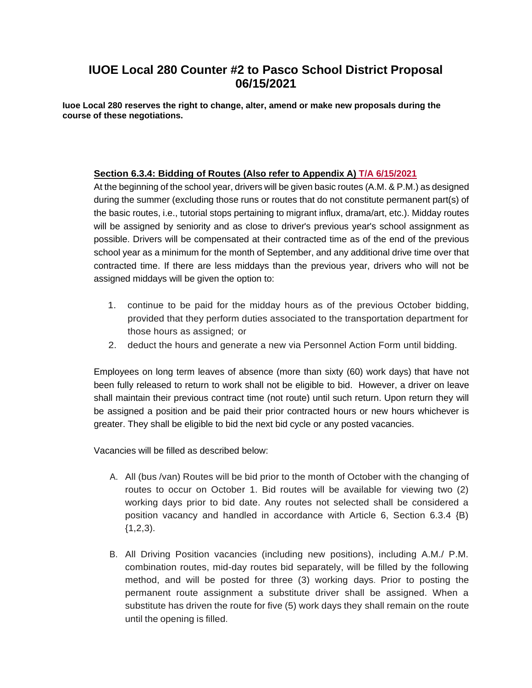# **IUOE Local 280 Counter #2 to Pasco School District Proposal 06/15/2021**

**Iuoe Local 280 reserves the right to change, alter, amend or make new proposals during the course of these negotiations.** 

## **Section 6.3.4: Bidding of Routes (Also refer to Appendix A) T/A 6/15/2021**

At the beginning of the school year, drivers will be given basic routes (A.M. & P.M.) as designed during the summer (excluding those runs or routes that do not constitute permanent part(s) of the basic routes, i.e., tutorial stops pertaining to migrant influx, drama/art, etc.). Midday routes will be assigned by seniority and as close to driver's previous year's school assignment as possible. Drivers will be compensated at their contracted time as of the end of the previous school year as a minimum for the month of September, and any additional drive time over that contracted time. If there are less middays than the previous year, drivers who will not be assigned middays will be given the option to:

- 1. continue to be paid for the midday hours as of the previous October bidding, provided that they perform duties associated to the transportation department for those hours as assigned; or
- 2. deduct the hours and generate a new via Personnel Action Form until bidding.

Employees on long term leaves of absence (more than sixty (60) work days) that have not been fully released to return to work shall not be eligible to bid. However, a driver on leave shall maintain their previous contract time (not route) until such return. Upon return they will be assigned a position and be paid their prior contracted hours or new hours whichever is greater. They shall be eligible to bid the next bid cycle or any posted vacancies.

Vacancies will be filled as described below:

- A. All (bus /van) Routes will be bid prior to the month of October with the changing of routes to occur on October 1. Bid routes will be available for viewing two (2) working days prior to bid date. Any routes not selected shall be considered a position vacancy and handled in accordance with Article 6, Section 6.3.4 {B)  ${1,2,3}.$
- B. All Driving Position vacancies (including new positions), including A.M./ P.M. combination routes, mid-day routes bid separately, will be filled by the following method, and will be posted for three (3) working days. Prior to posting the permanent route assignment a substitute driver shall be assigned. When a substitute has driven the route for five (5) work days they shall remain on the route until the opening is filled.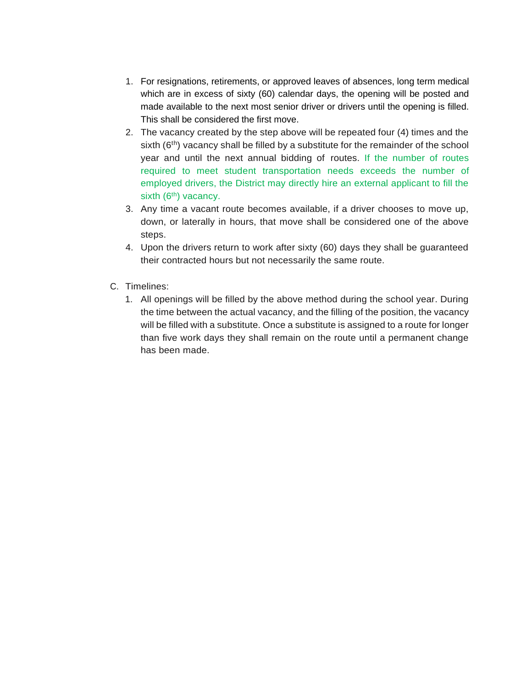- 1. For resignations, retirements, or approved leaves of absences, long term medical which are in excess of sixty (60) calendar days, the opening will be posted and made available to the next most senior driver or drivers until the opening is filled. This shall be considered the first move.
- 2. The vacancy created by the step above will be repeated four (4) times and the sixth  $(6<sup>th</sup>)$  vacancy shall be filled by a substitute for the remainder of the school year and until the next annual bidding of routes. If the number of routes required to meet student transportation needs exceeds the number of employed drivers, the District may directly hire an external applicant to fill the sixth  $(6<sup>th</sup>)$  vacancy.
- 3. Any time a vacant route becomes available, if a driver chooses to move up, down, or laterally in hours, that move shall be considered one of the above steps.
- 4. Upon the drivers return to work after sixty (60) days they shall be guaranteed their contracted hours but not necessarily the same route.
- C. Timelines:
	- 1. All openings will be filled by the above method during the school year. During the time between the actual vacancy, and the filling of the position, the vacancy will be filled with a substitute. Once a substitute is assigned to a route for longer than five work days they shall remain on the route until a permanent change has been made.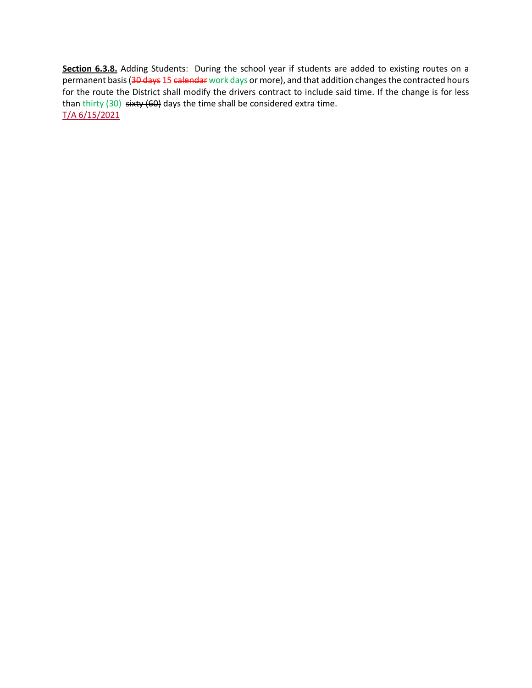**Section 6.3.8.** Adding Students: During the school year if students are added to existing routes on a permanent basis (30 days 15 calendar work days or more), and that addition changes the contracted hours for the route the District shall modify the drivers contract to include said time. If the change is for less than thirty (30) sixty (60) days the time shall be considered extra time. T/A 6/15/2021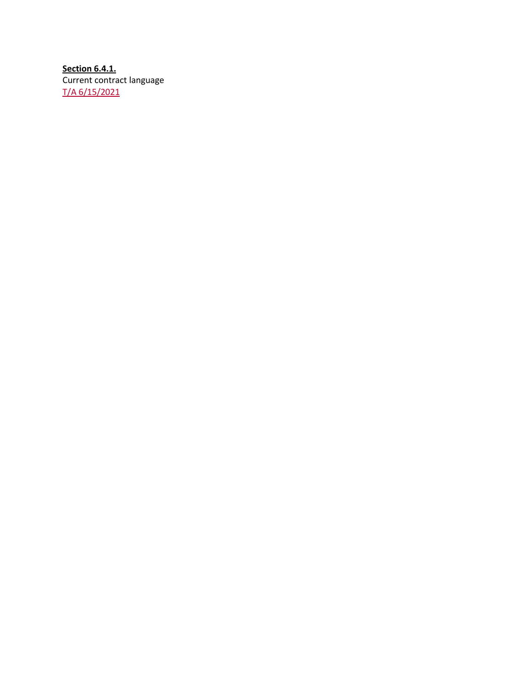**Section 6.4.1.** Current contract language T/A 6/15/2021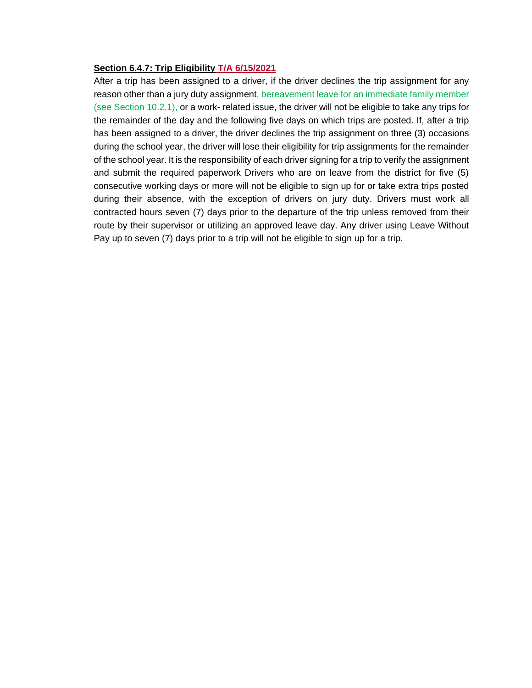#### **Section 6.4.7: Trip Eligibility T/A 6/15/2021**

After a trip has been assigned to a driver, if the driver declines the trip assignment for any reason other than a jury duty assignment, bereavement leave for an immediate family member (see Section 10.2.1), or a work- related issue, the driver will not be eligible to take any trips for the remainder of the day and the following five days on which trips are posted. If, after a trip has been assigned to a driver, the driver declines the trip assignment on three (3) occasions during the school year, the driver will lose their eligibility for trip assignments for the remainder of the school year. It is the responsibility of each driver signing for a trip to verify the assignment and submit the required paperwork Drivers who are on leave from the district for five (5) consecutive working days or more will not be eligible to sign up for or take extra trips posted during their absence, with the exception of drivers on jury duty. Drivers must work all contracted hours seven (7) days prior to the departure of the trip unless removed from their route by their supervisor or utilizing an approved leave day. Any driver using Leave Without Pay up to seven (7) days prior to a trip will not be eligible to sign up for a trip.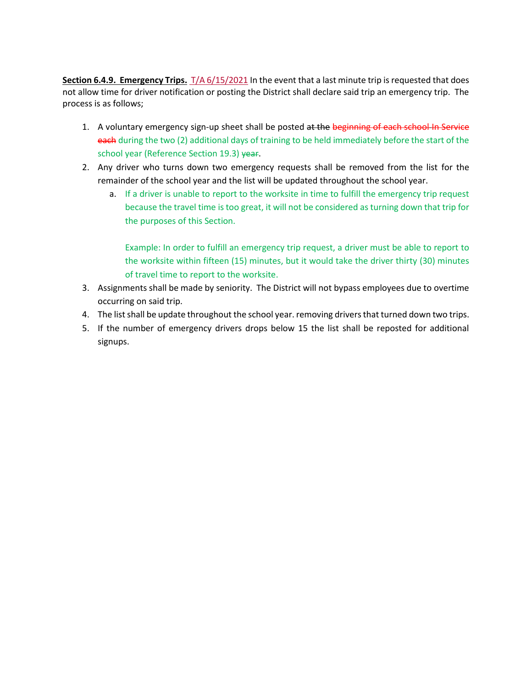**Section 6.4.9. Emergency Trips.** T/A 6/15/2021 In the event that a last minute trip is requested that does not allow time for driver notification or posting the District shall declare said trip an emergency trip. The process is as follows;

- 1. A voluntary emergency sign-up sheet shall be posted at the beginning of each school In Service each during the two (2) additional days of training to be held immediately before the start of the school year (Reference Section 19.3) year.
- 2. Any driver who turns down two emergency requests shall be removed from the list for the remainder of the school year and the list will be updated throughout the school year.
	- a. If a driver is unable to report to the worksite in time to fulfill the emergency trip request because the travel time is too great, it will not be considered as turning down that trip for the purposes of this Section.

Example: In order to fulfill an emergency trip request, a driver must be able to report to the worksite within fifteen (15) minutes, but it would take the driver thirty (30) minutes of travel time to report to the worksite.

- 3. Assignments shall be made by seniority. The District will not bypass employees due to overtime occurring on said trip.
- 4. The list shall be update throughout the school year. removing drivers that turned down two trips.
- 5. If the number of emergency drivers drops below 15 the list shall be reposted for additional signups.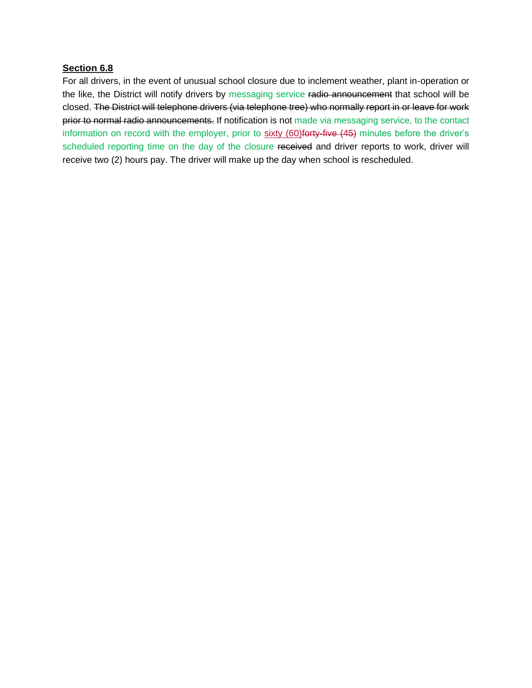#### **Section 6.8**

For all drivers, in the event of unusual school closure due to inclement weather, plant in-operation or the like, the District will notify drivers by messaging service radio announcement that school will be closed. The District will telephone drivers (via telephone tree) who normally report in or leave for work prior to normal radio announcements. If notification is not made via messaging service, to the contact information on record with the employer, prior to sixty (60) forty-five (45) minutes before the driver's scheduled reporting time on the day of the closure received and driver reports to work, driver will receive two (2) hours pay. The driver will make up the day when school is rescheduled.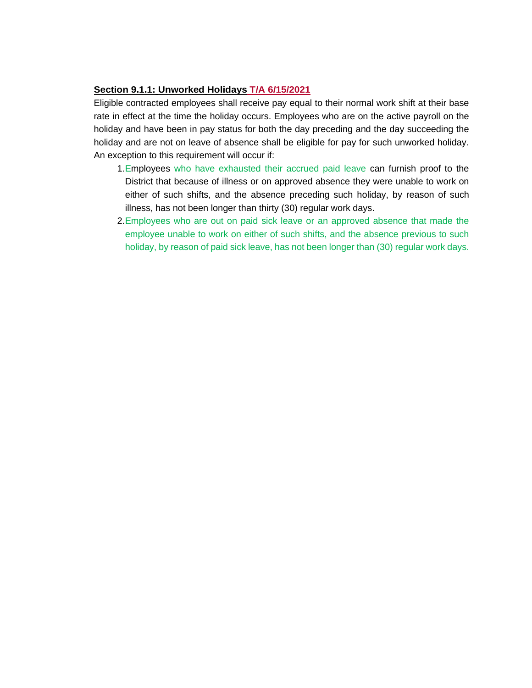### **Section 9.1.1: Unworked Holidays T/A 6/15/2021**

Eligible contracted employees shall receive pay equal to their normal work shift at their base rate in effect at the time the holiday occurs. Employees who are on the active payroll on the holiday and have been in pay status for both the day preceding and the day succeeding the holiday and are not on leave of absence shall be eligible for pay for such unworked holiday. An exception to this requirement will occur if:

- 1.Employees who have exhausted their accrued paid leave can furnish proof to the District that because of illness or on approved absence they were unable to work on either of such shifts, and the absence preceding such holiday, by reason of such illness, has not been longer than thirty (30) regular work days.
- 2.Employees who are out on paid sick leave or an approved absence that made the employee unable to work on either of such shifts, and the absence previous to such holiday, by reason of paid sick leave, has not been longer than (30) regular work days.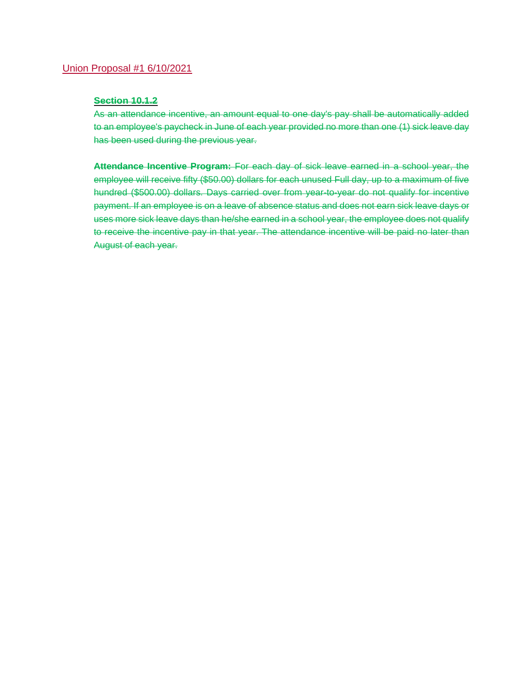### Union Proposal #1 6/10/2021

#### **Section 10.1.2**

As an attendance incentive, an amount equal to one day's pay shall be automatically added to an employee's paycheck in June of each year provided no more than one (1) sick leave day has been used during the previous year.

**Attendance Incentive Program:** For each day of sick leave earned in a school year, the employee will receive fifty (\$50.00) dollars for each unused Full day, up to a maximum of five hundred (\$500.00) dollars. Days carried over from year-to-year do not qualify for incentive payment. If an employee is on a leave of absence status and does not earn sick leave days or uses more sick leave days than he/she earned in a school year, the employee does not qualify to receive the incentive pay in that year. The attendance incentive will be paid no later than August of each year.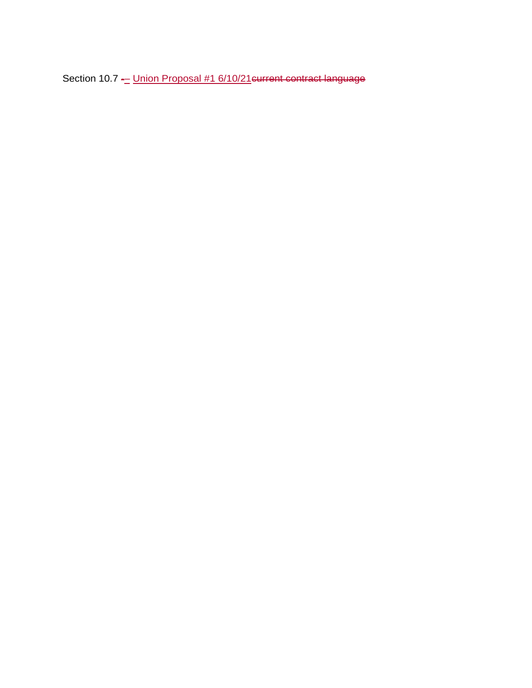Section 10.7 - Union Proposal #1 6/10/21 eurrent contract language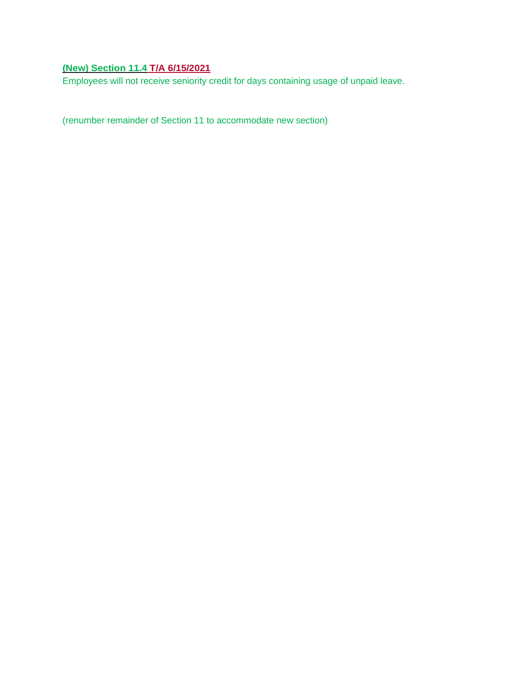## **(New) Section 11.4 T/A 6/15/2021**

Employees will not receive seniority credit for days containing usage of unpaid leave.

(renumber remainder of Section 11 to accommodate new section)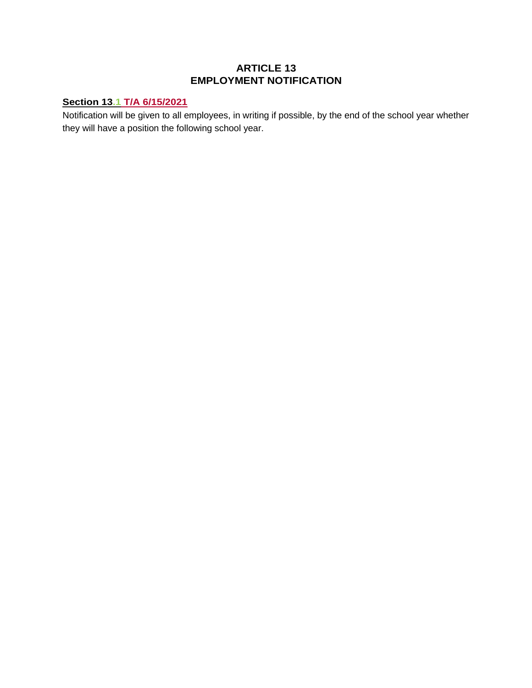## **ARTICLE 13 EMPLOYMENT NOTIFICATION**

## **Section 13.1 T/A 6/15/2021**

Notification will be given to all employees, in writing if possible, by the end of the school year whether they will have a position the following school year.